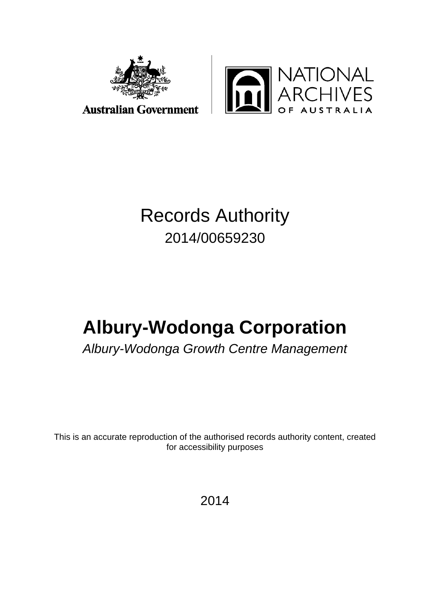



### **Australian Government**

## Records Authority 2014/00659230

# **Albury-Wodonga Corporation**

*Albury-Wodonga Growth Centre Management*

This is an accurate reproduction of the authorised records authority content, created for accessibility purposes

2014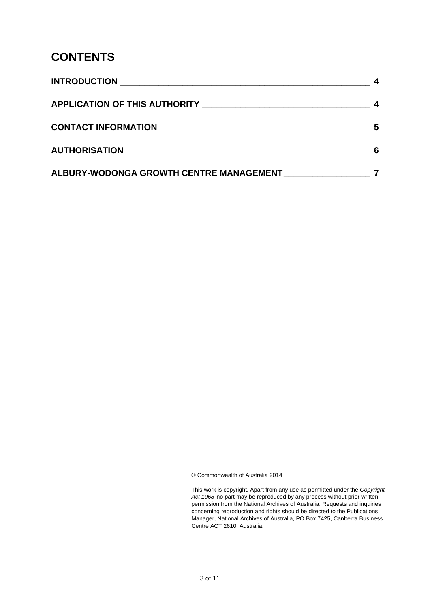### **CONTENTS**

|                                         | 5 |
|-----------------------------------------|---|
|                                         |   |
| ALBURY-WODONGA GROWTH CENTRE MANAGEMENT |   |

© Commonwealth of Australia 2014

This work is copyright. Apart from any use as permitted under the *Copyright Act 1968,* no part may be reproduced by any process without prior written permission from the National Archives of Australia. Requests and inquiries concerning reproduction and rights should be directed to the Publications Manager, National Archives of Australia, PO Box 7425, Canberra Business Centre ACT 2610, Australia.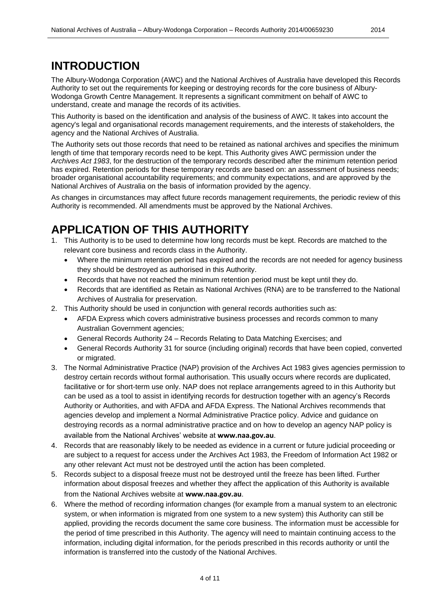### <span id="page-3-0"></span>**INTRODUCTION**

The Albury-Wodonga Corporation (AWC) and the National Archives of Australia have developed this Records Authority to set out the requirements for keeping or destroying records for the core business of Albury-Wodonga Growth Centre Management. It represents a significant commitment on behalf of AWC to understand, create and manage the records of its activities.

This Authority is based on the identification and analysis of the business of AWC. It takes into account the agency's legal and organisational records management requirements, and the interests of stakeholders, the agency and the National Archives of Australia.

The Authority sets out those records that need to be retained as national archives and specifies the minimum length of time that temporary records need to be kept. This Authority gives AWC permission under the *Archives Act 1983*, for the destruction of the temporary records described after the minimum retention period has expired. Retention periods for these temporary records are based on: an assessment of business needs; broader organisational accountability requirements; and community expectations, and are approved by the National Archives of Australia on the basis of information provided by the agency.

As changes in circumstances may affect future records management requirements, the periodic review of this Authority is recommended. All amendments must be approved by the National Archives.

### <span id="page-3-1"></span>**APPLICATION OF THIS AUTHORITY**

- 1. This Authority is to be used to determine how long records must be kept. Records are matched to the relevant core business and records class in the Authority.
	- Where the minimum retention period has expired and the records are not needed for agency business they should be destroyed as authorised in this Authority.
	- Records that have not reached the minimum retention period must be kept until they do.
	- Records that are identified as Retain as National Archives (RNA) are to be transferred to the National Archives of Australia for preservation.
- 2. This Authority should be used in conjunction with general records authorities such as:
	- AFDA Express which covers administrative business processes and records common to many Australian Government agencies;
	- General Records Authority 24 Records Relating to Data Matching Exercises; and
	- General Records Authority 31 for source (including original) records that have been copied, converted or migrated.
- 3. The Normal Administrative Practice (NAP) provision of the Archives Act 1983 gives agencies permission to destroy certain records without formal authorisation. This usually occurs where records are duplicated, facilitative or for short-term use only. NAP does not replace arrangements agreed to in this Authority but can be used as a tool to assist in identifying records for destruction together with an agency's Records Authority or Authorities, and with AFDA and AFDA Express. The National Archives recommends that agencies develop and implement a Normal Administrative Practice policy. Advice and guidance on destroying records as a normal administrative practice and on how to develop an agency NAP policy is available from the National Archives' website at **[www.naa.gov.au](http://www.naa.gov.au/)**.
- 4. Records that are reasonably likely to be needed as evidence in a current or future judicial proceeding or are subject to a request for access under the Archives Act 1983, the Freedom of Information Act 1982 or any other relevant Act must not be destroyed until the action has been completed.
- 5. Records subject to a disposal freeze must not be destroyed until the freeze has been lifted. Further information about disposal freezes and whether they affect the application of this Authority is available from the National Archives website at **[www.naa.gov.au](http://www.naa.gov.au/)**.
- 6. Where the method of recording information changes (for example from a manual system to an electronic system, or when information is migrated from one system to a new system) this Authority can still be applied, providing the records document the same core business. The information must be accessible for the period of time prescribed in this Authority. The agency will need to maintain continuing access to the information, including digital information, for the periods prescribed in this records authority or until the information is transferred into the custody of the National Archives.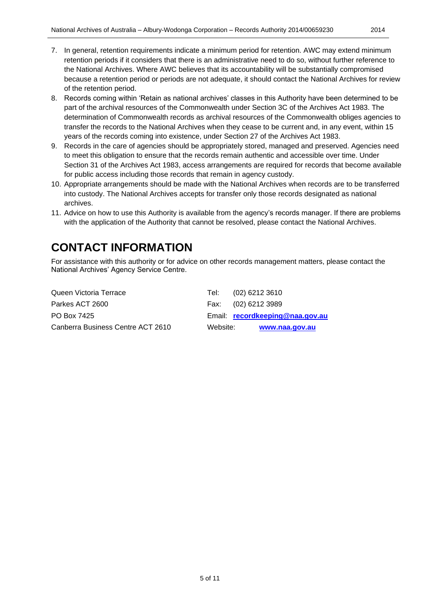- 7. In general, retention requirements indicate a minimum period for retention. AWC may extend minimum retention periods if it considers that there is an administrative need to do so, without further reference to the National Archives. Where AWC believes that its accountability will be substantially compromised because a retention period or periods are not adequate, it should contact the National Archives for review of the retention period.
- 8. Records coming within 'Retain as national archives' classes in this Authority have been determined to be part of the archival resources of the Commonwealth under Section 3C of the Archives Act 1983. The determination of Commonwealth records as archival resources of the Commonwealth obliges agencies to transfer the records to the National Archives when they cease to be current and, in any event, within 15 years of the records coming into existence, under Section 27 of the Archives Act 1983.
- 9. Records in the care of agencies should be appropriately stored, managed and preserved. Agencies need to meet this obligation to ensure that the records remain authentic and accessible over time. Under Section 31 of the Archives Act 1983, access arrangements are required for records that become available for public access including those records that remain in agency custody.
- 10. Appropriate arrangements should be made with the National Archives when records are to be transferred into custody. The National Archives accepts for transfer only those records designated as national archives.
- 11. Advice on how to use this Authority is available from the agency's records manager. If there are problems with the application of the Authority that cannot be resolved, please contact the National Archives.

### <span id="page-4-0"></span>**CONTACT INFORMATION**

For assistance with this authority or for advice on other records management matters, please contact the National Archives' Agency Service Centre.

| Queen Victoria Terrace            | Tel:     | (02) 6212 3610                  |
|-----------------------------------|----------|---------------------------------|
| Parkes ACT 2600                   |          | Fax: (02) 6212 3989             |
| PO Box 7425                       |          | Email: recordkeeping@naa.gov.au |
| Canberra Business Centre ACT 2610 | Website: | www.naa.gov.au                  |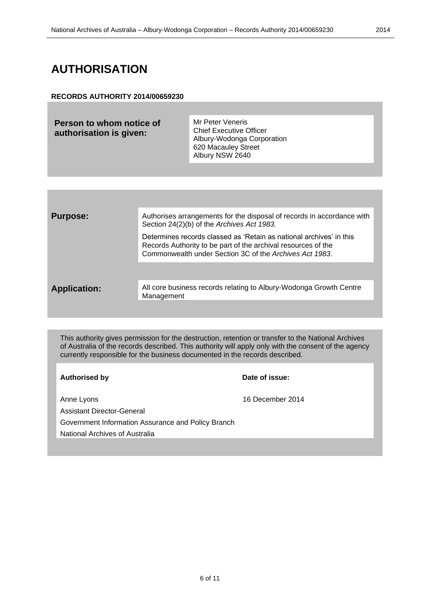## <span id="page-5-0"></span>**AUTHORISATION**

#### **RECORDS AUTHORITY 2014/00659230**

| Person to whom notice of<br>authorisation is given: | Mr Peter Veneris<br><b>Chief Executive Officer</b><br>Albury-Wodonga Corporation<br>620 Macauley Street<br>Albury NSW 2640 |
|-----------------------------------------------------|----------------------------------------------------------------------------------------------------------------------------|
|                                                     |                                                                                                                            |

| <b>Purpose:</b>     | Authorises arrangements for the disposal of records in accordance with<br>Section 24(2)(b) of the Archives Act 1983.                                                                            |
|---------------------|-------------------------------------------------------------------------------------------------------------------------------------------------------------------------------------------------|
|                     | Determines records classed as 'Retain as national archives' in this<br>Records Authority to be part of the archival resources of the<br>Commonwealth under Section 3C of the Archives Act 1983. |
|                     |                                                                                                                                                                                                 |
| <b>Application:</b> | All core business records relating to Albury-Wodonga Growth Centre<br>Management                                                                                                                |
|                     |                                                                                                                                                                                                 |

This authority gives permission for the destruction, retention or transfer to the National Archives of Australia of the records described. This authority will apply only with the consent of the agency currently responsible for the business documented in the records described.

### **Authorised by Date of issue:**

Anne Lyons 16 December 2014

Assistant Director-General

Government Information Assurance and Policy Branch

National Archives of Australia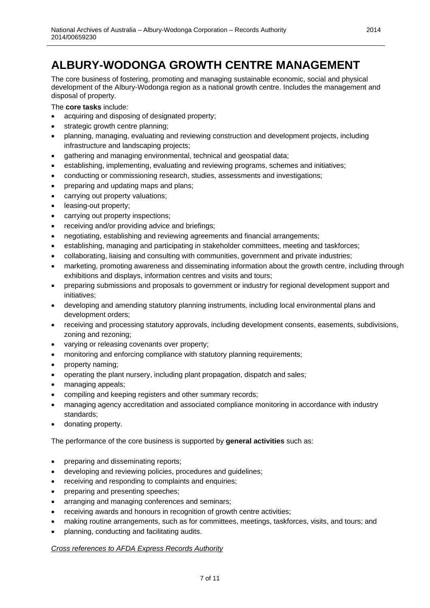<span id="page-6-0"></span>The core business of fostering, promoting and managing sustainable economic, social and physical development of the Albury-Wodonga region as a national growth centre. Includes the management and disposal of property.

The **core tasks** include:

- acquiring and disposing of designated property;
- strategic growth centre planning;
- planning, managing, evaluating and reviewing construction and development projects, including infrastructure and landscaping projects;
- gathering and managing environmental, technical and geospatial data;
- establishing, implementing, evaluating and reviewing programs, schemes and initiatives;
- conducting or commissioning research, studies, assessments and investigations;
- preparing and updating maps and plans;
- carrying out property valuations;
- leasing-out property;
- carrying out property inspections;
- receiving and/or providing advice and briefings;
- negotiating, establishing and reviewing agreements and financial arrangements;
- establishing, managing and participating in stakeholder committees, meeting and taskforces;
- collaborating, liaising and consulting with communities, government and private industries;
- marketing, promoting awareness and disseminating information about the growth centre, including through exhibitions and displays, information centres and visits and tours;
- preparing submissions and proposals to government or industry for regional development support and initiatives;
- developing and amending statutory planning instruments, including local environmental plans and development orders;
- receiving and processing statutory approvals, including development consents, easements, subdivisions, zoning and rezoning;
- varying or releasing covenants over property;
- monitoring and enforcing compliance with statutory planning requirements;
- property naming;
- operating the plant nursery, including plant propagation, dispatch and sales;
- managing appeals;
- compiling and keeping registers and other summary records;
- managing agency accreditation and associated compliance monitoring in accordance with industry standards;
- donating property.

The performance of the core business is supported by **general activities** such as:

- preparing and disseminating reports;
- developing and reviewing policies, procedures and guidelines;
- receiving and responding to complaints and enquiries;
- preparing and presenting speeches;
- arranging and managing conferences and seminars;
- receiving awards and honours in recognition of growth centre activities;
- making routine arrangements, such as for committees, meetings, taskforces, visits, and tours; and
- planning, conducting and facilitating audits.

#### *Cross references to AFDA Express Records Authority*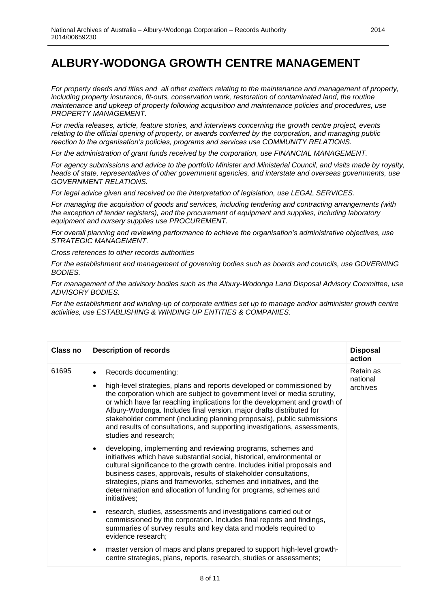*For property deeds and titles and all other matters relating to the maintenance and management of property, including property insurance, fit-outs, conservation work, restoration of contaminated land, the routine maintenance and upkeep of property following acquisition and maintenance policies and procedures, use PROPERTY MANAGEMENT.*

*For media releases, article, feature stories, and interviews concerning the growth centre project, events relating to the official opening of property, or awards conferred by the corporation, and managing public reaction to the organisation's policies, programs and services use COMMUNITY RELATIONS.*

*For the administration of grant funds received by the corporation, use FINANCIAL MANAGEMENT.*

*For agency submissions and advice to the portfolio Minister and Ministerial Council, and visits made by royalty, heads of state, representatives of other government agencies, and interstate and overseas governments, use GOVERNMENT RELATIONS.*

*For legal advice given and received on the interpretation of legislation, use LEGAL SERVICES.*

*For managing the acquisition of goods and services, including tendering and contracting arrangements (with the exception of tender registers), and the procurement of equipment and supplies, including laboratory equipment and nursery supplies use PROCUREMENT.* 

*For overall planning and reviewing performance to achieve the organisation's administrative objectives, use STRATEGIC MANAGEMENT.*

*Cross references to other records authorities*

*For the establishment and management of governing bodies such as boards and councils, use GOVERNING BODIES.*

*For management of the advisory bodies such as the Albury-Wodonga Land Disposal Advisory Committee, use ADVISORY BODIES.*

*For the establishment and winding-up of corporate entities set up to manage and/or administer growth centre activities, use ESTABLISHING & WINDING UP ENTITIES & COMPANIES.*

| Class no | <b>Description of records</b>                                                                                                                                                                                                                                                                                                                                                                                                                                                                                               | <b>Disposal</b><br>action         |
|----------|-----------------------------------------------------------------------------------------------------------------------------------------------------------------------------------------------------------------------------------------------------------------------------------------------------------------------------------------------------------------------------------------------------------------------------------------------------------------------------------------------------------------------------|-----------------------------------|
| 61695    | Records documenting:<br>$\bullet$<br>high-level strategies, plans and reports developed or commissioned by<br>the corporation which are subject to government level or media scrutiny,<br>or which have far reaching implications for the development and growth of<br>Albury-Wodonga. Includes final version, major drafts distributed for<br>stakeholder comment (including planning proposals), public submissions<br>and results of consultations, and supporting investigations, assessments,<br>studies and research; | Retain as<br>national<br>archives |
|          | developing, implementing and reviewing programs, schemes and<br>$\bullet$<br>initiatives which have substantial social, historical, environmental or<br>cultural significance to the growth centre. Includes initial proposals and<br>business cases, approvals, results of stakeholder consultations,<br>strategies, plans and frameworks, schemes and initiatives, and the<br>determination and allocation of funding for programs, schemes and<br>initiatives;                                                           |                                   |
|          | research, studies, assessments and investigations carried out or<br>$\bullet$<br>commissioned by the corporation. Includes final reports and findings,<br>summaries of survey results and key data and models required to<br>evidence research;                                                                                                                                                                                                                                                                             |                                   |
|          | master version of maps and plans prepared to support high-level growth-<br>٠<br>centre strategies, plans, reports, research, studies or assessments;                                                                                                                                                                                                                                                                                                                                                                        |                                   |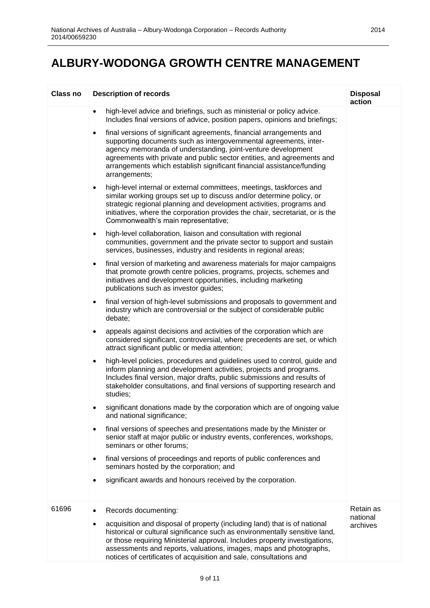| <b>Class no</b> | <b>Description of records</b>                                                                                                                                                                                                                                                                                                                                                                                   | <b>Disposal</b><br>action         |
|-----------------|-----------------------------------------------------------------------------------------------------------------------------------------------------------------------------------------------------------------------------------------------------------------------------------------------------------------------------------------------------------------------------------------------------------------|-----------------------------------|
|                 | high-level advice and briefings, such as ministerial or policy advice.<br>$\bullet$<br>Includes final versions of advice, position papers, opinions and briefings;                                                                                                                                                                                                                                              |                                   |
|                 | final versions of significant agreements, financial arrangements and<br>$\bullet$<br>supporting documents such as intergovernmental agreements, inter-<br>agency memoranda of understanding, joint-venture development<br>agreements with private and public sector entities, and agreements and<br>arrangements which establish significant financial assistance/funding<br>arrangements;                      |                                   |
|                 | high-level internal or external committees, meetings, taskforces and<br>$\bullet$<br>similar working groups set up to discuss and/or determine policy, or<br>strategic regional planning and development activities, programs and<br>initiatives, where the corporation provides the chair, secretariat, or is the<br>Commonwealth's main representative;                                                       |                                   |
|                 | high-level collaboration, liaison and consultation with regional<br>$\bullet$<br>communities, government and the private sector to support and sustain<br>services, businesses, industry and residents in regional areas;                                                                                                                                                                                       |                                   |
|                 | final version of marketing and awareness materials for major campaigns<br>$\bullet$<br>that promote growth centre policies, programs, projects, schemes and<br>initiatives and development opportunities, including marketing<br>publications such as investor guides;                                                                                                                                          |                                   |
|                 | final version of high-level submissions and proposals to government and<br>$\bullet$<br>industry which are controversial or the subject of considerable public<br>debate;                                                                                                                                                                                                                                       |                                   |
|                 | appeals against decisions and activities of the corporation which are<br>$\bullet$<br>considered significant, controversial, where precedents are set, or which<br>attract significant public or media attention;                                                                                                                                                                                               |                                   |
|                 | high-level policies, procedures and guidelines used to control, guide and<br>$\bullet$<br>inform planning and development activities, projects and programs.<br>Includes final version, major drafts, public submissions and results of<br>stakeholder consultations, and final versions of supporting research and<br>studies;                                                                                 |                                   |
|                 | significant donations made by the corporation which are of ongoing value<br>and national significance;                                                                                                                                                                                                                                                                                                          |                                   |
|                 | final versions of speeches and presentations made by the Minister or<br>$\bullet$<br>senior staff at major public or industry events, conferences, workshops,<br>seminars or other forums;                                                                                                                                                                                                                      |                                   |
|                 | final versions of proceedings and reports of public conferences and<br>$\bullet$<br>seminars hosted by the corporation; and                                                                                                                                                                                                                                                                                     |                                   |
|                 | significant awards and honours received by the corporation.                                                                                                                                                                                                                                                                                                                                                     |                                   |
| 61696           | Records documenting:<br>acquisition and disposal of property (including land) that is of national<br>٠<br>historical or cultural significance such as environmentally sensitive land,<br>or those requiring Ministerial approval. Includes property investigations,<br>assessments and reports, valuations, images, maps and photographs,<br>notices of certificates of acquisition and sale, consultations and | Retain as<br>national<br>archives |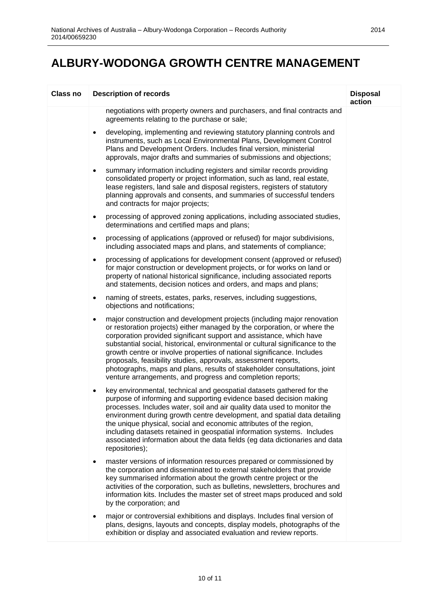| <b>Class no</b> | <b>Description of records</b>                                                                                                                                                                                                                                                                                                                                                                                                                                                                                                                                                                          | <b>Disposal</b><br>action |
|-----------------|--------------------------------------------------------------------------------------------------------------------------------------------------------------------------------------------------------------------------------------------------------------------------------------------------------------------------------------------------------------------------------------------------------------------------------------------------------------------------------------------------------------------------------------------------------------------------------------------------------|---------------------------|
|                 | negotiations with property owners and purchasers, and final contracts and<br>agreements relating to the purchase or sale;                                                                                                                                                                                                                                                                                                                                                                                                                                                                              |                           |
|                 | developing, implementing and reviewing statutory planning controls and<br>$\bullet$<br>instruments, such as Local Environmental Plans, Development Control<br>Plans and Development Orders. Includes final version, ministerial<br>approvals, major drafts and summaries of submissions and objections;                                                                                                                                                                                                                                                                                                |                           |
|                 | summary information including registers and similar records providing<br>$\bullet$<br>consolidated property or project information, such as land, real estate,<br>lease registers, land sale and disposal registers, registers of statutory<br>planning approvals and consents, and summaries of successful tenders<br>and contracts for major projects;                                                                                                                                                                                                                                               |                           |
|                 | processing of approved zoning applications, including associated studies,<br>$\bullet$<br>determinations and certified maps and plans;                                                                                                                                                                                                                                                                                                                                                                                                                                                                 |                           |
|                 | processing of applications (approved or refused) for major subdivisions,<br>٠<br>including associated maps and plans, and statements of compliance;                                                                                                                                                                                                                                                                                                                                                                                                                                                    |                           |
|                 | processing of applications for development consent (approved or refused)<br>٠<br>for major construction or development projects, or for works on land or<br>property of national historical significance, including associated reports<br>and statements, decision notices and orders, and maps and plans;                                                                                                                                                                                                                                                                                             |                           |
|                 | naming of streets, estates, parks, reserves, including suggestions,<br>$\bullet$<br>objections and notifications;                                                                                                                                                                                                                                                                                                                                                                                                                                                                                      |                           |
|                 | major construction and development projects (including major renovation<br>٠<br>or restoration projects) either managed by the corporation, or where the<br>corporation provided significant support and assistance, which have<br>substantial social, historical, environmental or cultural significance to the<br>growth centre or involve properties of national significance. Includes<br>proposals, feasibility studies, approvals, assessment reports,<br>photographs, maps and plans, results of stakeholder consultations, joint<br>venture arrangements, and progress and completion reports; |                           |
|                 | key environmental, technical and geospatial datasets gathered for the<br>$\bullet$<br>purpose of informing and supporting evidence based decision making<br>processes. Includes water, soil and air quality data used to monitor the<br>environment during growth centre development, and spatial data detailing<br>the unique physical, social and economic attributes of the region,<br>including datasets retained in geospatial information systems. Includes<br>associated information about the data fields (eg data dictionaries and data<br>repositories);                                     |                           |
|                 | master versions of information resources prepared or commissioned by<br>the corporation and disseminated to external stakeholders that provide<br>key summarised information about the growth centre project or the<br>activities of the corporation, such as bulletins, newsletters, brochures and<br>information kits. Includes the master set of street maps produced and sold<br>by the corporation; and                                                                                                                                                                                           |                           |
|                 | major or controversial exhibitions and displays. Includes final version of<br>٠<br>plans, designs, layouts and concepts, display models, photographs of the<br>exhibition or display and associated evaluation and review reports.                                                                                                                                                                                                                                                                                                                                                                     |                           |